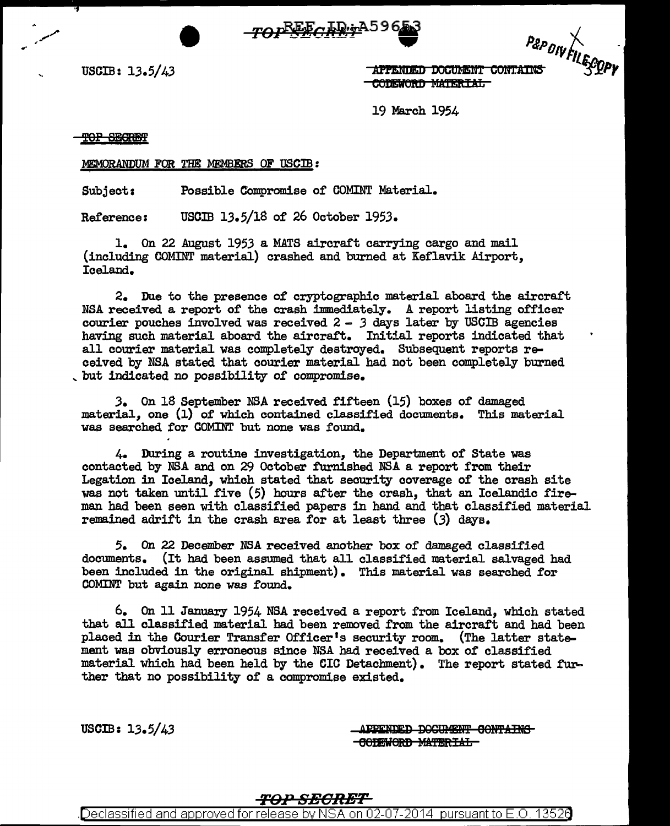

| T                                                                              | $P$ & $P$ $P$ |
|--------------------------------------------------------------------------------|---------------|
| <b>APPENDED DOCUMENT CONTAINS</b><br><b><i><u>AABERIAAA 111556 717</u></i></b> |               |

USCIB:  $13.5/43$  **TAPPENDED DOCUMENT CONTAINS**  $3\frac{Y}{P}$ 

19 March 1954

TOP SEGREET

.. -

MEMORANDUM FOR THE MEMBERS OF USCIB:

Subject: Possible Compromise of COMINT Material.

Reference: USOIB 13.5/lS of 26 October 1953.

1. On 22 August 1953 a MATS aircraft carrying cargo and mail (including COMINT material) crashed and burned at Keflavik Airport, Iceland.

2. Due to the presence of cryptographic material aboard the aircraft NSA received a report of the crash immediately. A report listing officer courier pouches involved was received 2 - *3* days later by USCIB agencies having such material aboard the aircraft. Initial reports indicated that all courier material was completely destroyed. Subsequent reports received by NSA stated that courier material had not been completely burned<br>but indicated no possibility of compromise.

*3.* On lS September NSA received fifteen (15) boxes of damaged material, one (1) of which contained classified documents. This material was searched for COMINT but none was found.

4. During a routine investigation, the Department of State was contacted by NSA and on 29 October furnished NSA a report from their Legation in Iceland, which stated that security coverage of the crash site was not taken until five (5) hours after the crash, that an Icelandic fireman had been seen with classified papers in hand and that classified material remained adrift in the crash area for at least three (3) days.

*5.* On 22 December NSA received another box of damaged classified documents. (It had been assumed that all classified material salvaged had been included in the original shipment). This material was searched for COMINT but again none was found.

6. On 11 January 1954 NSA received a report from Iceland, which stated that all classified material had been removed from the aircraft and had been placed in the Courier Transfer Officer's security room. (The latter statement was obviously erroneous since NSA had received a box of classified material which had been held by the CIC Detachment). The report stated further that no possibility of a compromise existed.

USCIB:  $13.5/43$   $\overline{APRNDED-DOCHMENT-GORITHM}$ **-GODEWORD MATERIAL-**

## 1'0PSEORET

Declassified and approved for release by NSA on 02-07-2014 pursuant to E.O. 13526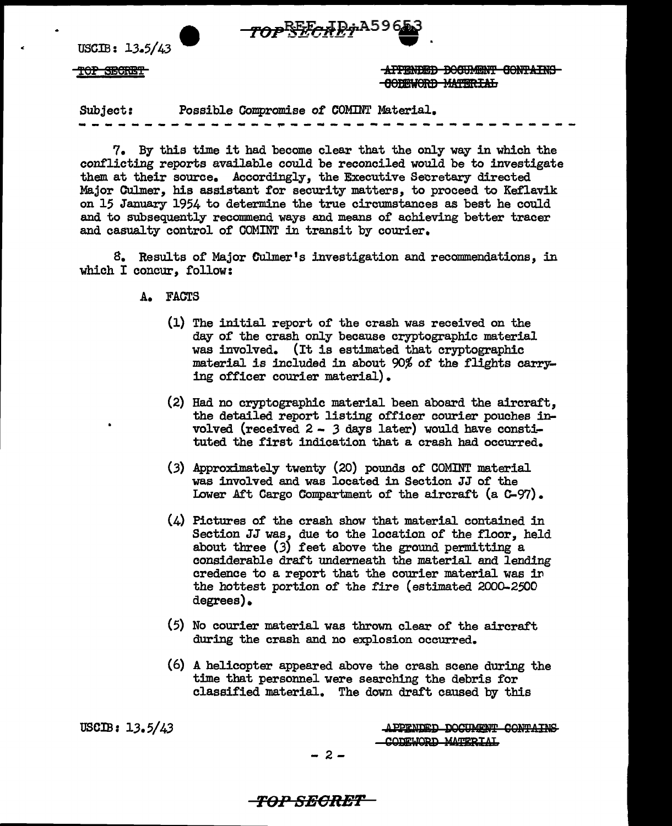

USCIB: 13.5/43

TOP SECRET TOP AFFENDED DOCUMENT CONTAINS 80FEWORD MATERIAL

Subject: Possible Oompromise *ot* COMINT Material.

7. By this time it had become clear that the only way in which the conflicting reports available could be reconciled would be to investigate them at their source. Accordingly, the Executive Secretary directed Major Culmer, his assistant tor security matters, to proceed to Ketlavik on 15 January 1954 to determine the true circumstances as best he could and to subsequently recommend ways and means of achieving better tracer and casualty control of COMINT in transit by courier.

8. Results of Major Culmer's investigation and recommendations, in which I concur, follow:

A. FACTS

- (1) The initial report of the crash was received on the day of the crash only because cryptographic material was involved. (It is estimated that cryptographic material is included in about 90% 0£ the flights carrying officer courier material).
- (2) Had no cryptographic material been aboard the aircraft, the detailed report listing officer courier pouches involved (received 2 - *3* days later) would have constituted the first indication that a crash had occurred.
- (3) Approximately twenty (20) pounds of COMINT material was involved and was located in Section JJ of the Lower Aft Cargo Compartment of the aircraft (a C-97).
- (4) Pictures of the crash show that material contained in Section JJ was, due to the location of the floor, held about three  $(3)$  feet above the ground permitting a considerable draft underneath the material and lending credence to a report that the courier material was in the hottest portion of the fire (estimated 2000-2500 degrees).
- (5) No courier material was thrown clear of the aircraft during the crash and no explosion occurred.
- (6) A helicopter appeared above the crash scene during the time that personnel were searching the debris for classified material. The down draft caused by this

USCIB: 13.5/43

APPENDED DOCUMENT CONTAINS CODEWORD MATERIAL

- 2-

*TOi"SBORM*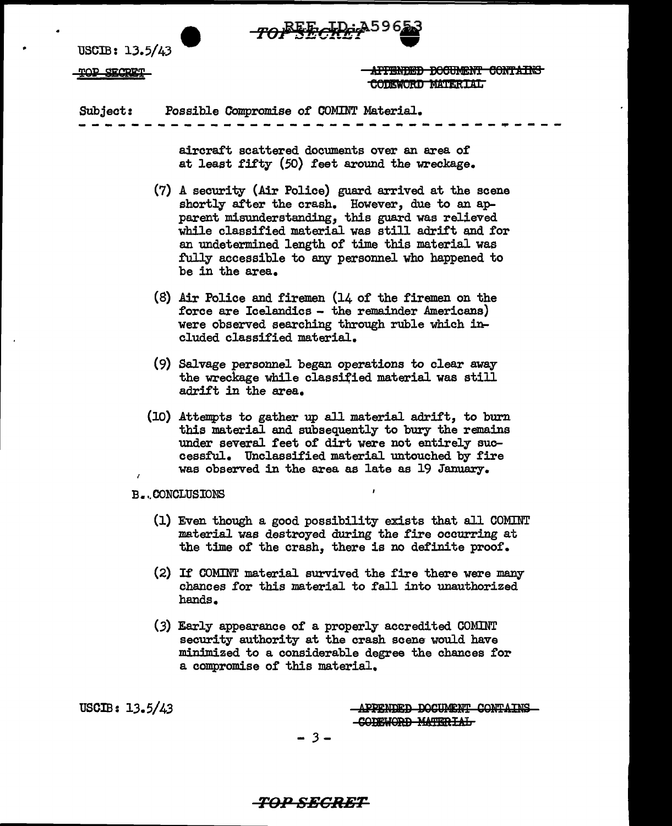

USCIB: 13.5/43

 $_{\rm TOP}$  secret  $_{\rm HTPNDED}$  before  $_{\rm HTPNDED}$  contains CODEWORD MATERIAL

Subject: Possible Compromise of OOMINT Material.

aircraft scattered documents over an area of at least fifty  $(50)$  feet around the wreckage.

------------------------~~------·----

- (7) A security (Air Police) guard arrived at the scene shortly after the crash. However, due to an apparent misunderstanding, this guard was relieved while classified material was still adrift and for an undetermined length of time this material was fully accessible to any personnel who happened to be in the area.
- (8) Air Police and firemen (14 of the firemen on the force are Icelandics - the remainder Americans) were observed searching through ruble which included classified material.
- (9) Salvage personnel began operations to clear away the wreckage while classified material was still adrift in the area.
- (10) Attempts to gather up all material adrift, to burn this material and subsequently to bury the remains under several feet of dirt were not entirely successful. Unclassified material untouched by fire was observed in the area as late as 19 January.

B •.. CONCLUSIONS

- (1) Even though a good possibility exists that all COMINT material was destroyed during the fire occurring at the time of the crash, there is no definite proof.
- (2) If COMINT material survived the fire there were many chances for this material to fall into unauthorized hands.
- $(3)$  Early appearance of a properly accredited COMINT security authority at the crash scene would have minimized to a considerable degree the chances for a compromise of this material.

USCIB:  $13.5/43$  ... APPENDED DOCUMENT CONTAINS -CODEWORD MATERIAL

- *3* -

**TOl1 SECRET**